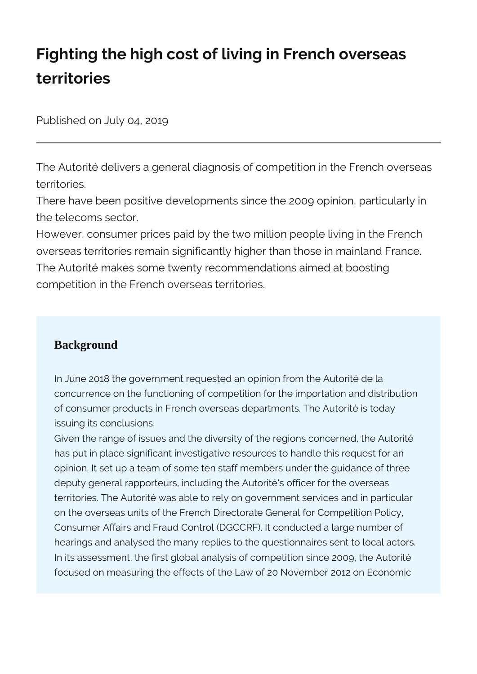# **Fighting the high cost of living in French overseas territories**

Published on July 04, 2019

The Autorité delivers a general diagnosis of competition in the French overseas territories.

There have been positive developments since the 2009 opinion, particularly in the telecoms sector.

However, consumer prices paid by the two million people living in the French overseas territories remain significantly higher than those in mainland France. The Autorité makes some twenty recommendations aimed at boosting competition in the French overseas territories.

### **Background**

In June 2018 the government requested an opinion from the Autorité de la concurrence on the functioning of competition for the importation and distribution of consumer products in French overseas departments. The Autorité is today issuing its conclusions.

Given the range of issues and the diversity of the regions concerned, the Autorité has put in place significant investigative resources to handle this request for an opinion. It set up a team of some ten staff members under the guidance of three deputy general rapporteurs, including the Autorité's officer for the overseas territories. The Autorité was able to rely on government services and in particular on the overseas units of the French Directorate General for Competition Policy, Consumer Affairs and Fraud Control (DGCCRF). It conducted a large number of hearings and analysed the many replies to the questionnaires sent to local actors. In its assessment, the first global analysis of competition since 2009, the Autorité focused on measuring the effects of the Law of 20 November 2012 on Economic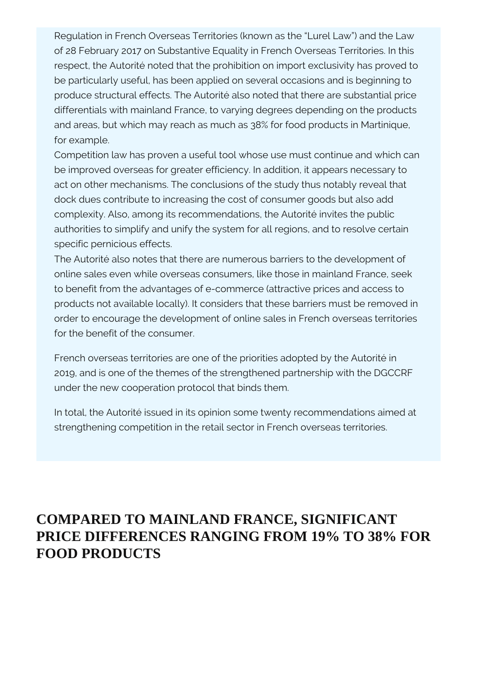Regulation in French Overseas Territories (known as the "Lurel Law") and the Law of 28 February 2017 on Substantive Equality in French Overseas Territories. In this respect, the Autorité noted that the prohibition on import exclusivity has proved to be particularly useful, has been applied on several occasions and is beginning to produce structural effects. The Autorité also noted that there are substantial price differentials with mainland France, to varying degrees depending on the products and areas, but which may reach as much as 38% for food products in Martinique, for example.

Competition law has proven a useful tool whose use must continue and which can be improved overseas for greater efficiency. In addition, it appears necessary to act on other mechanisms. The conclusions of the study thus notably reveal that dock dues contribute to increasing the cost of consumer goods but also add complexity. Also, among its recommendations, the Autorité invites the public authorities to simplify and unify the system for all regions, and to resolve certain specific pernicious effects.

The Autorité also notes that there are numerous barriers to the development of online sales even while overseas consumers, like those in mainland France, seek to benefit from the advantages of e-commerce (attractive prices and access to products not available locally). It considers that these barriers must be removed in order to encourage the development of online sales in French overseas territories for the benefit of the consumer.

French overseas territories are one of the priorities adopted by the Autorité in 2019, and is one of the themes of the strengthened partnership with the DGCCRF under the new cooperation protocol that binds them.

In total, the Autorité issued in its opinion some twenty recommendations aimed at strengthening competition in the retail sector in French overseas territories.

## **COMPARED TO MAINLAND FRANCE, SIGNIFICANT PRICE DIFFERENCES RANGING FROM 19% TO 38% FOR FOOD PRODUCTS**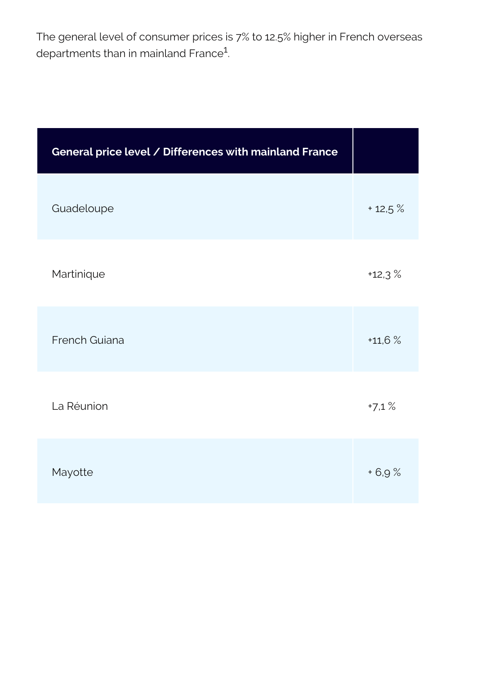The general level of consumer prices is 7% to 12.5% higher in French overseas departments than in mainland France<sup>1</sup>. .

| General price level / Differences with mainland France |          |
|--------------------------------------------------------|----------|
| Guadeloupe                                             | $+12.5%$ |
| Martinique                                             | $+12.3%$ |
| French Guiana                                          | $+11,6%$ |
| La Réunion                                             | $+7,1%$  |
| Mayotte                                                | $+6,9%$  |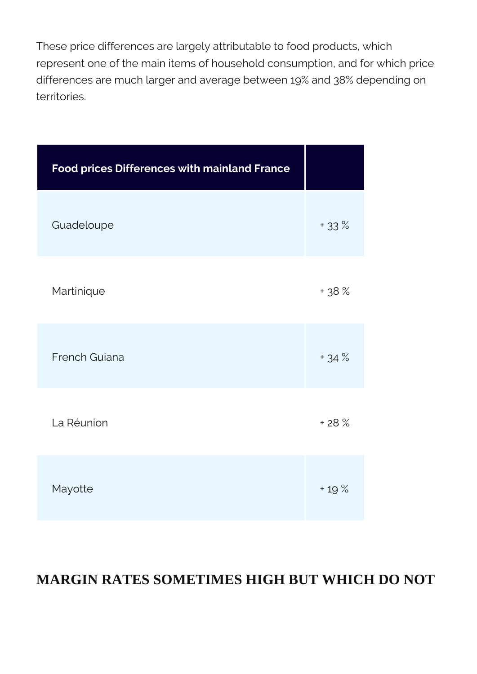These price differences are largely attributable to food products, which represent one of the main items of household consumption, and for which price differences are much larger and average between 19% and 38% depending on territories.

| <b>Food prices Differences with mainland France</b> |        |
|-----------------------------------------------------|--------|
| Guadeloupe                                          | $+33%$ |
| Martinique                                          | + 38 % |
| French Guiana                                       | $+34%$ |
| La Réunion                                          | $+28%$ |
| Mayotte                                             | $+19%$ |

## **MARGIN RATES SOMETIMES HIGH BUT WHICH DO NOT**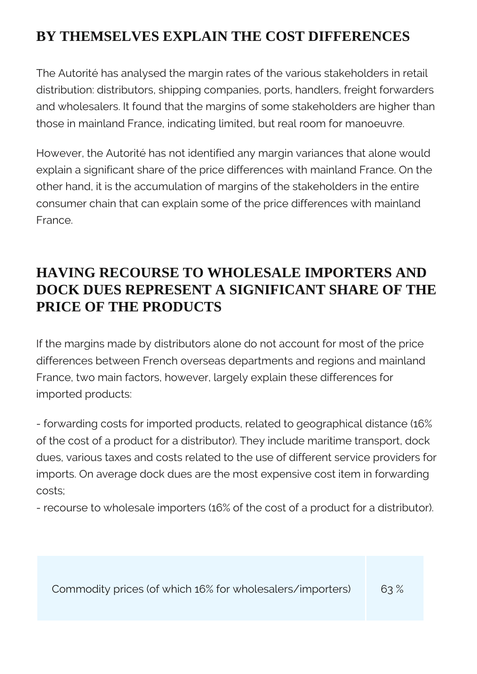## **BY THEMSELVES EXPLAIN THE COST DIFFERENCES**

The Autorité has analysed the margin rates of the various stakeholders in retail distribution: distributors, shipping companies, ports, handlers, freight forwarders and wholesalers. It found that the margins of some stakeholders are higher than those in mainland France, indicating limited, but real room for manoeuvre.

However, the Autorité has not identified any margin variances that alone would explain a significant share of the price differences with mainland France. On the other hand, it is the accumulation of margins of the stakeholders in the entire consumer chain that can explain some of the price differences with mainland France.

## **HAVING RECOURSE TO WHOLESALE IMPORTERS AND DOCK DUES REPRESENT A SIGNIFICANT SHARE OF THE PRICE OF THE PRODUCTS**

If the margins made by distributors alone do not account for most of the price differences between French overseas departments and regions and mainland France, two main factors, however, largely explain these differences for imported products:

- forwarding costs for imported products, related to geographical distance (16% of the cost of a product for a distributor). They include maritime transport, dock dues, various taxes and costs related to the use of different service providers for imports. On average dock dues are the most expensive cost item in forwarding costs;

- recourse to wholesale importers (16% of the cost of a product for a distributor).

Commodity prices (of which 16% for wholesalers/importers) 63 %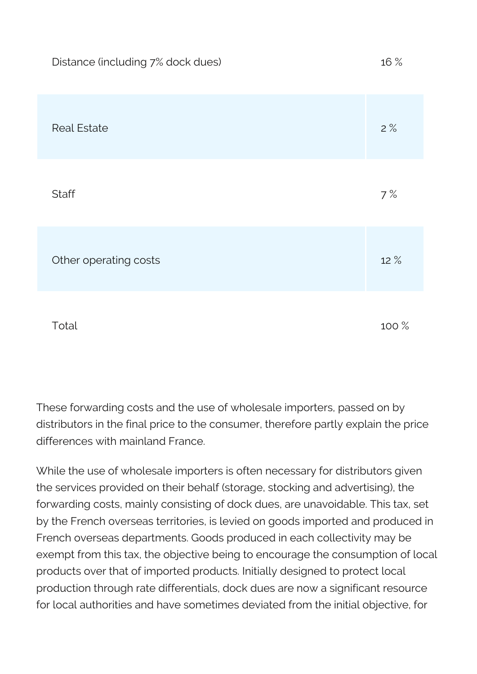| Distance (including 7% dock dues) | 16 %  |
|-----------------------------------|-------|
| <b>Real Estate</b>                | 2%    |
| <b>Staff</b>                      | 7%    |
| Other operating costs             | 12 %  |
| Total                             | 100 % |

These forwarding costs and the use of wholesale importers, passed on by distributors in the final price to the consumer, therefore partly explain the price differences with mainland France.

While the use of wholesale importers is often necessary for distributors given the services provided on their behalf (storage, stocking and advertising), the forwarding costs, mainly consisting of dock dues, are unavoidable. This tax, set by the French overseas territories, is levied on goods imported and produced in French overseas departments. Goods produced in each collectivity may be exempt from this tax, the objective being to encourage the consumption of local products over that of imported products. Initially designed to protect local production through rate differentials, dock dues are now a significant resource for local authorities and have sometimes deviated from the initial objective, for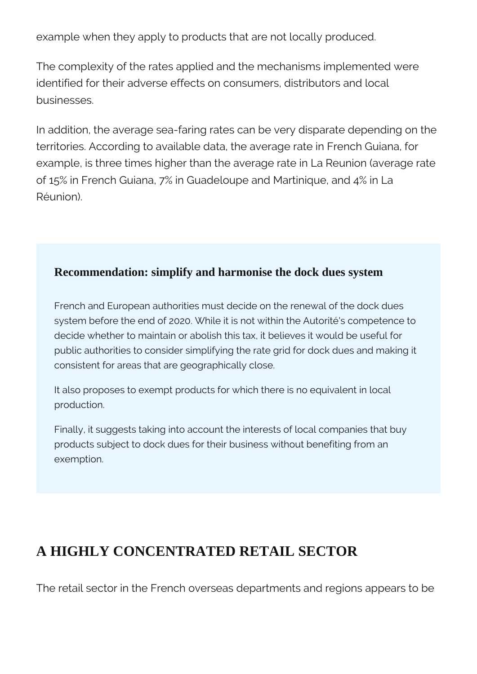example when they apply to products that are not locally produced.

The complexity of the rates applied and the mechanisms implemented were identified for their adverse effects on consumers, distributors and local businesses.

In addition, the average sea-faring rates can be very disparate depending on the territories. According to available data, the average rate in French Guiana, for example, is three times higher than the average rate in La Reunion (average rate of 15% in French Guiana, 7% in Guadeloupe and Martinique, and 4% in La Réunion).

### **Recommendation: simplify and harmonise the dock dues system**

French and European authorities must decide on the renewal of the dock dues system before the end of 2020. While it is not within the Autorité's competence to decide whether to maintain or abolish this tax, it believes it would be useful for public authorities to consider simplifying the rate grid for dock dues and making it consistent for areas that are geographically close.

It also proposes to exempt products for which there is no equivalent in local production.

Finally, it suggests taking into account the interests of local companies that buy products subject to dock dues for their business without benefiting from an exemption.

### **A HIGHLY CONCENTRATED RETAIL SECTOR**

The retail sector in the French overseas departments and regions appears to be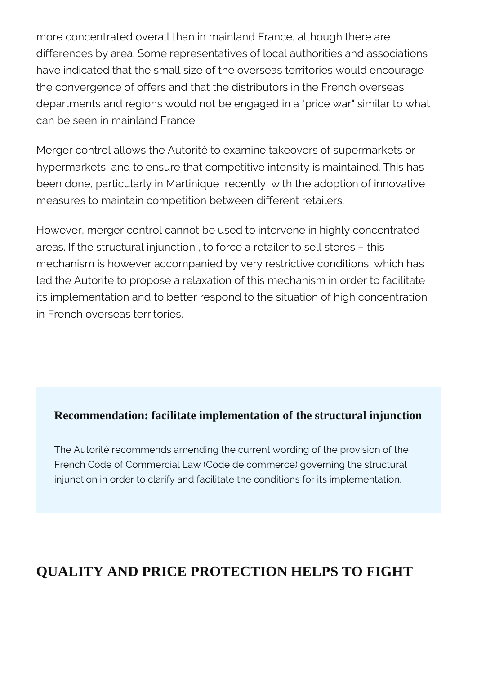more concentrated overall than in mainland France, although there are differences by area. Some representatives of local authorities and associations have indicated that the small size of the overseas territories would encourage the convergence of offers and that the distributors in the French overseas departments and regions would not be engaged in a "price war" similar to what can be seen in mainland France.

Merger control allows the Autorité to examine takeovers of supermarkets or hypermarkets and to ensure that competitive intensity is maintained. This has been done, particularly in Martinique recently, with the adoption of innovative measures to maintain competition between different retailers.

However, merger control cannot be used to intervene in highly concentrated areas. If the structural injunction , to force a retailer to sell stores – this mechanism is however accompanied by very restrictive conditions, which has led the Autorité to propose a relaxation of this mechanism in order to facilitate its implementation and to better respond to the situation of high concentration in French overseas territories.

### **Recommendation: facilitate implementation of the structural injunction**

The Autorité recommends amending the current wording of the provision of the French Code of Commercial Law (Code de commerce) governing the structural injunction in order to clarify and facilitate the conditions for its implementation.

## **QUALITY AND PRICE PROTECTION HELPS TO FIGHT**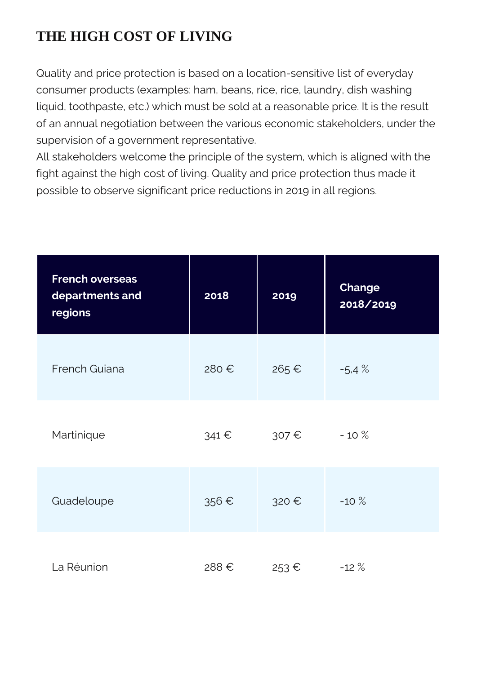## **THE HIGH COST OF LIVING**

Quality and price protection is based on a location-sensitive list of everyday consumer products (examples: ham, beans, rice, rice, laundry, dish washing liquid, toothpaste, etc.) which must be sold at a reasonable price. It is the result of an annual negotiation between the various economic stakeholders, under the supervision of a government representative.

All stakeholders welcome the principle of the system, which is aligned with the fight against the high cost of living. Quality and price protection thus made it possible to observe significant price reductions in 2019 in all regions.

| <b>French overseas</b><br>departments and<br>regions | 2018  | 2019  | <b>Change</b><br>2018/2019 |
|------------------------------------------------------|-------|-------|----------------------------|
| French Guiana                                        | 280€  | 265 € | $-5.4%$                    |
| Martinique                                           | 341 € | 307 € | $-10%$                     |
| Guadeloupe                                           | 356€  | 320 € | $-10%$                     |
| La Réunion                                           | 288€  | 253€  | $-12%$                     |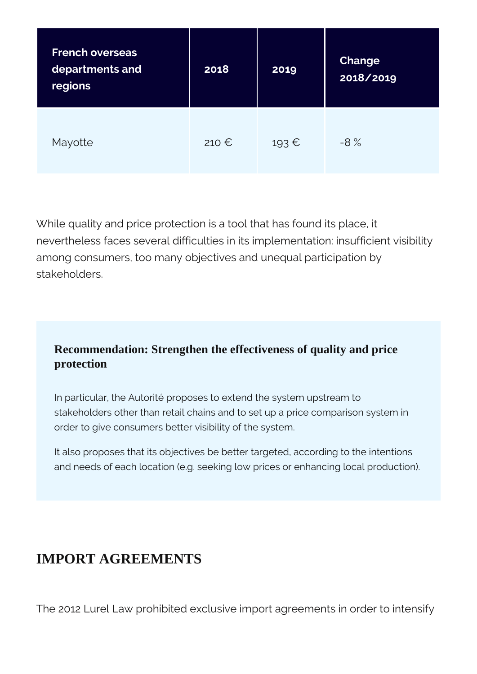| <b>French overseas</b><br>departments and<br>regions | 2018           | 2019  | <b>Change</b><br>2018/2019 |
|------------------------------------------------------|----------------|-------|----------------------------|
| Mayotte                                              | 210 $\epsilon$ | 193 € | $-8%$                      |

While quality and price protection is a tool that has found its place, it nevertheless faces several difficulties in its implementation: insufficient visibility among consumers, too many objectives and unequal participation by stakeholders.

### **Recommendation: Strengthen the effectiveness of quality and price protection**

In particular, the Autorité proposes to extend the system upstream to stakeholders other than retail chains and to set up a price comparison system in order to give consumers better visibility of the system.

It also proposes that its objectives be better targeted, according to the intentions and needs of each location (e.g. seeking low prices or enhancing local production).

## **IMPORT AGREEMENTS**

The 2012 Lurel Law prohibited exclusive import agreements in order to intensify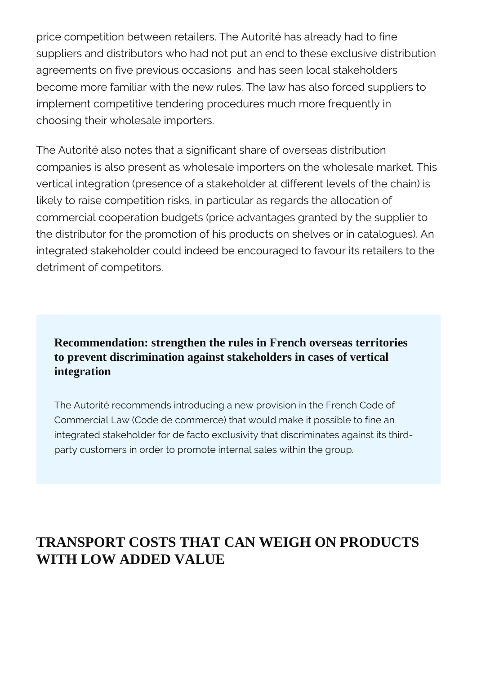price competition between retailers. The Autorité has already had to fine suppliers and distributors who had not put an end to these exclusive distribution agreements on five previous occasions and has seen local stakeholders become more familiar with the new rules. The law has also forced suppliers to implement competitive tendering procedures much more frequently in choosing their wholesale importers.

The Autorité also notes that a significant share of overseas distribution companies is also present as wholesale importers on the wholesale market. This vertical integration (presence of a stakeholder at different levels of the chain) is likely to raise competition risks, in particular as regards the allocation of commercial cooperation budgets (price advantages granted by the supplier to the distributor for the promotion of his products on shelves or in catalogues). An integrated stakeholder could indeed be encouraged to favour its retailers to the detriment of competitors.

### **Recommendation: strengthen the rules in French overseas territories to prevent discrimination against stakeholders in cases of vertical integration**

The Autorité recommends introducing a new provision in the French Code of Commercial Law (Code de commerce) that would make it possible to fine an integrated stakeholder for de facto exclusivity that discriminates against its thirdparty customers in order to promote internal sales within the group.

## **TRANSPORT COSTS THAT CAN WEIGH ON PRODUCTS WITH LOW ADDED VALUE**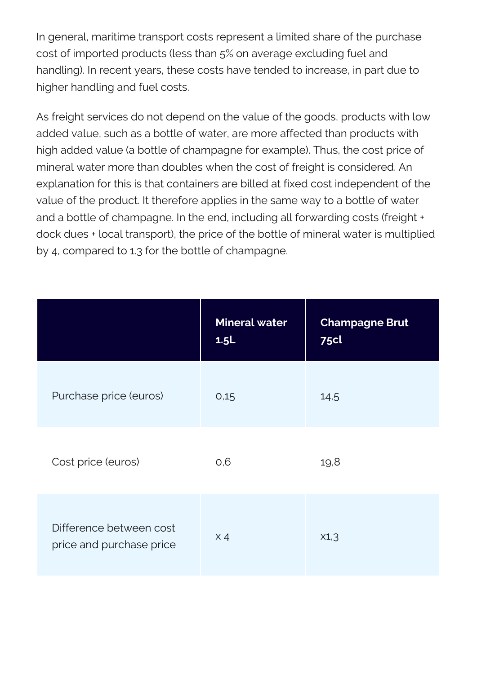In general, maritime transport costs represent a limited share of the purchase cost of imported products (less than 5% on average excluding fuel and handling). In recent years, these costs have tended to increase, in part due to higher handling and fuel costs.

As freight services do not depend on the value of the goods, products with low added value, such as a bottle of water, are more affected than products with high added value (a bottle of champagne for example). Thus, the cost price of mineral water more than doubles when the cost of freight is considered. An explanation for this is that containers are billed at fixed cost independent of the value of the product. It therefore applies in the same way to a bottle of water and a bottle of champagne. In the end, including all forwarding costs (freight + dock dues + local transport), the price of the bottle of mineral water is multiplied by 4, compared to 1.3 for the bottle of champagne.

|                                                     | <b>Mineral water</b><br>1.5L | <b>Champagne Brut</b><br><b>75cl</b> |
|-----------------------------------------------------|------------------------------|--------------------------------------|
| Purchase price (euros)                              | 0,15                         | 14,5                                 |
| Cost price (euros)                                  | 0,6                          | 19,8                                 |
| Difference between cost<br>price and purchase price | $\times 4$                   | X1,3                                 |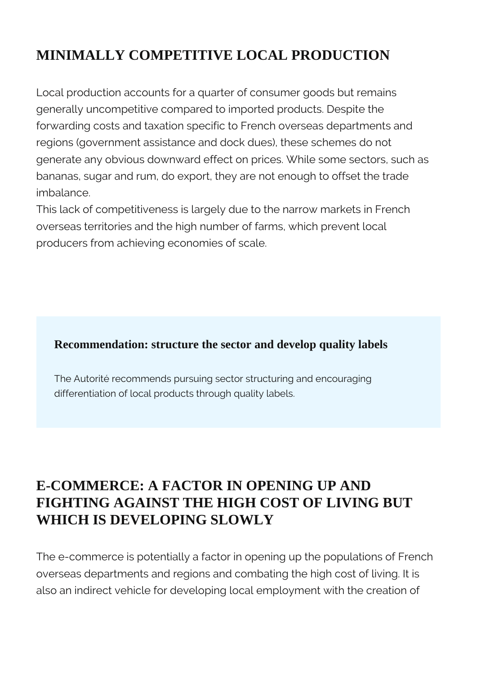## **MINIMALLY COMPETITIVE LOCAL PRODUCTION**

Local production accounts for a quarter of consumer goods but remains generally uncompetitive compared to imported products. Despite the forwarding costs and taxation specific to French overseas departments and regions (government assistance and dock dues), these schemes do not generate any obvious downward effect on prices. While some sectors, such as bananas, sugar and rum, do export, they are not enough to offset the trade imbalance.

This lack of competitiveness is largely due to the narrow markets in French overseas territories and the high number of farms, which prevent local producers from achieving economies of scale.

### **Recommendation: structure the sector and develop quality labels**

The Autorité recommends pursuing sector structuring and encouraging differentiation of local products through quality labels.

## **E-COMMERCE: A FACTOR IN OPENING UP AND FIGHTING AGAINST THE HIGH COST OF LIVING BUT WHICH IS DEVELOPING SLOWLY**

The e-commerce is potentially a factor in opening up the populations of French overseas departments and regions and combating the high cost of living. It is also an indirect vehicle for developing local employment with the creation of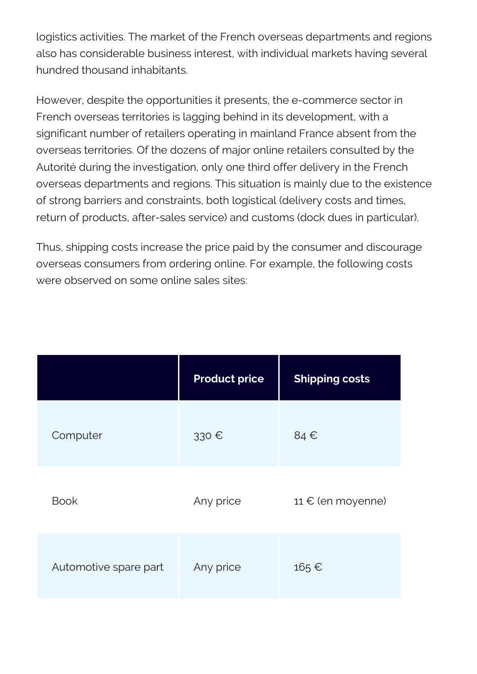logistics activities. The market of the French overseas departments and regions also has considerable business interest, with individual markets having several hundred thousand inhabitants.

However, despite the opportunities it presents, the e-commerce sector in French overseas territories is lagging behind in its development, with a significant number of retailers operating in mainland France absent from the overseas territories. Of the dozens of major online retailers consulted by the Autorité during the investigation, only one third offer delivery in the French overseas departments and regions. This situation is mainly due to the existence of strong barriers and constraints, both logistical (delivery costs and times, return of products, after-sales service) and customs (dock dues in particular).

Thus, shipping costs increase the price paid by the consumer and discourage overseas consumers from ordering online. For example, the following costs were observed on some online sales sites:

|                       | <b>Product price</b> | <b>Shipping costs</b>      |
|-----------------------|----------------------|----------------------------|
| Computer              | 330€                 | 84€                        |
| <b>Book</b>           | Any price            | 11 $\epsilon$ (en moyenne) |
| Automotive spare part | Any price            | 165€                       |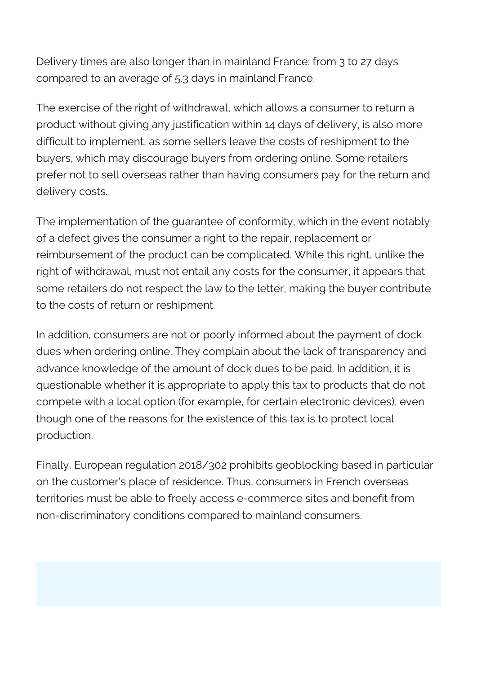Delivery times are also longer than in mainland France: from 3 to 27 days compared to an average of 5.3 days in mainland France.

The exercise of the right of withdrawal, which allows a consumer to return a product without giving any justification within 14 days of delivery, is also more difficult to implement, as some sellers leave the costs of reshipment to the buyers, which may discourage buyers from ordering online. Some retailers prefer not to sell overseas rather than having consumers pay for the return and delivery costs.

The implementation of the guarantee of conformity, which in the event notably of a defect gives the consumer a right to the repair, replacement or reimbursement of the product can be complicated. While this right, unlike the right of withdrawal, must not entail any costs for the consumer, it appears that some retailers do not respect the law to the letter, making the buyer contribute to the costs of return or reshipment.

In addition, consumers are not or poorly informed about the payment of dock dues when ordering online. They complain about the lack of transparency and advance knowledge of the amount of dock dues to be paid. In addition, it is questionable whether it is appropriate to apply this tax to products that do not compete with a local option (for example, for certain electronic devices), even though one of the reasons for the existence of this tax is to protect local production.

Finally, European regulation 2018/302 prohibits geoblocking based in particular on the customer's place of residence. Thus, consumers in French overseas territories must be able to freely access e-commerce sites and benefit from non-discriminatory conditions compared to mainland consumers.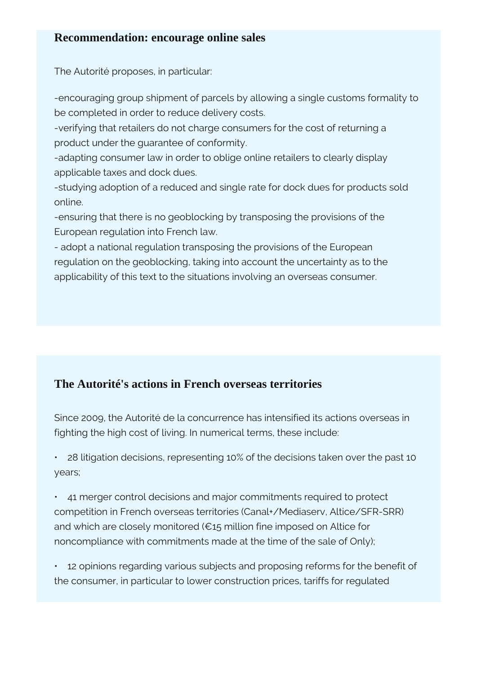#### **Recommendation: encourage online sales**

The Autorité proposes, in particular:

-encouraging group shipment of parcels by allowing a single customs formality to be completed in order to reduce delivery costs.

-verifying that retailers do not charge consumers for the cost of returning a product under the guarantee of conformity.

-adapting consumer law in order to oblige online retailers to clearly display applicable taxes and dock dues.

-studying adoption of a reduced and single rate for dock dues for products sold online.

-ensuring that there is no geoblocking by transposing the provisions of the European regulation into French law.

- adopt a national regulation transposing the provisions of the European regulation on the geoblocking, taking into account the uncertainty as to the applicability of this text to the situations involving an overseas consumer.

### **The Autorité's actions in French overseas territories**

Since 2009, the Autorité de la concurrence has intensified its actions overseas in fighting the high cost of living. In numerical terms, these include:

• 28 litigation decisions, representing 10% of the decisions taken over the past 10 years;

• 41 merger control decisions and major commitments required to protect competition in French overseas territories (Canal+/Mediaserv, Altice/SFR-SRR) and which are closely monitored (€15 million fine imposed on Altice for noncompliance with commitments made at the time of the sale of Only);

• 12 opinions regarding various subjects and proposing reforms for the benefit of the consumer, in particular to lower construction prices, tariffs for regulated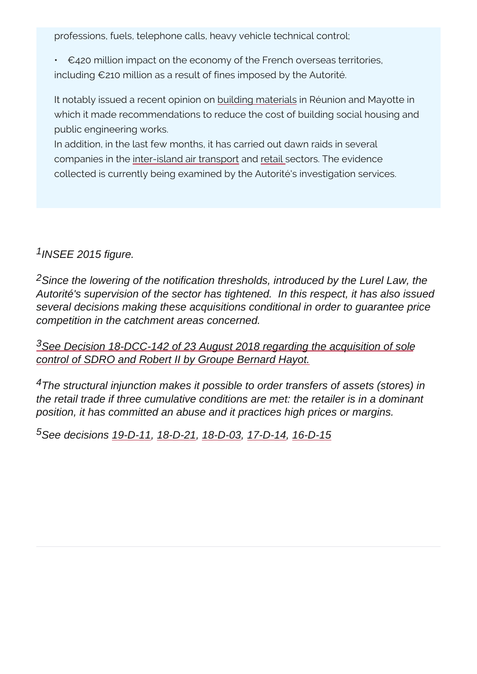professions, fuels, telephone calls, heavy vehicle technical c

 $\neg$ 420 million impact on the economy of the French overse including  $\neg$  210 million as a result of fines imposed by the Autoritie.

It notably issued a recebuido ingomaterials is and Mayotte in which it made recommendations to reduce the cost of building public engineering works.

In addition, in the last few months, it has carried out dawn raints companies im ttehre island air tand stpasiet ctors. The evidence collected is currently being examined by the Autorité's invest

<sup>1</sup>INSEE 2015 figure.

<sup>2</sup>Since the lowering of the notification thresholds, introduced by the Lurel Law, the Autorité's supervision of the sector has tightened. In this respect, it has also issued several decisions making these acquisitions conditional in order to guarantee price competition in the catchment areas concerned.

<sup>[3](https://www.autoritedelaconcurrence.fr/fr/decision-de-controle-des-concentrations/relative-la-prise-de-controle-exclusif-de-la-societe-232)</sup>[See Decision 18-DCC-142 of 23 August 2018 regarding the acquisition of sole](https://www.autoritedelaconcurrence.fr/fr/decision-de-controle-des-concentrations/relative-la-prise-de-controle-exclusif-de-la-societe-232) [control of SDRO and Robert II by Groupe Bernard Hayot.](https://www.autoritedelaconcurrence.fr/fr/decision-de-controle-des-concentrations/relative-la-prise-de-controle-exclusif-de-la-societe-232)

<sup>4</sup>The structural injunction makes it possible to order transfers of assets (stores) in the retail trade if three cumulative conditions are met: the retailer is in a dominant position, it has committed an abuse and it practices high prices or margins.

5See decisions [19-D-11](https://www.autoritedelaconcurrence.fr/fr/decision/relative-des-pratiques-mises-en-oeuvre-dans-le-secteur-de-la-commercialisation-de-reactifs), [18-D-21,](https://www.autoritedelaconcurrence.fr/fr/decision/relative-des-pratiques-mises-en-oeuvre-dans-le-secteur-des-produits-de-grande-consommation) [18-D-03](https://www.autoritedelaconcurrence.fr/fr/decision/relative-des-pratiques-mises-en-oeuvre-dans-le-secteur-de-la-commercialisation-de-pieges), [17-D-14](https://www.autoritedelaconcurrence.fr/fr/decision/relative-des-pratiques-mises-en-oeuvre-dans-le-secteur-de-la-distribution-des-produits-5), [16-D-15](https://www.autoritedelaconcurrence.fr/fr/decision/relative-des-pratiques-mises-en-oeuvre-dans-le-secteur-de-la-distribution-des-produits-de)